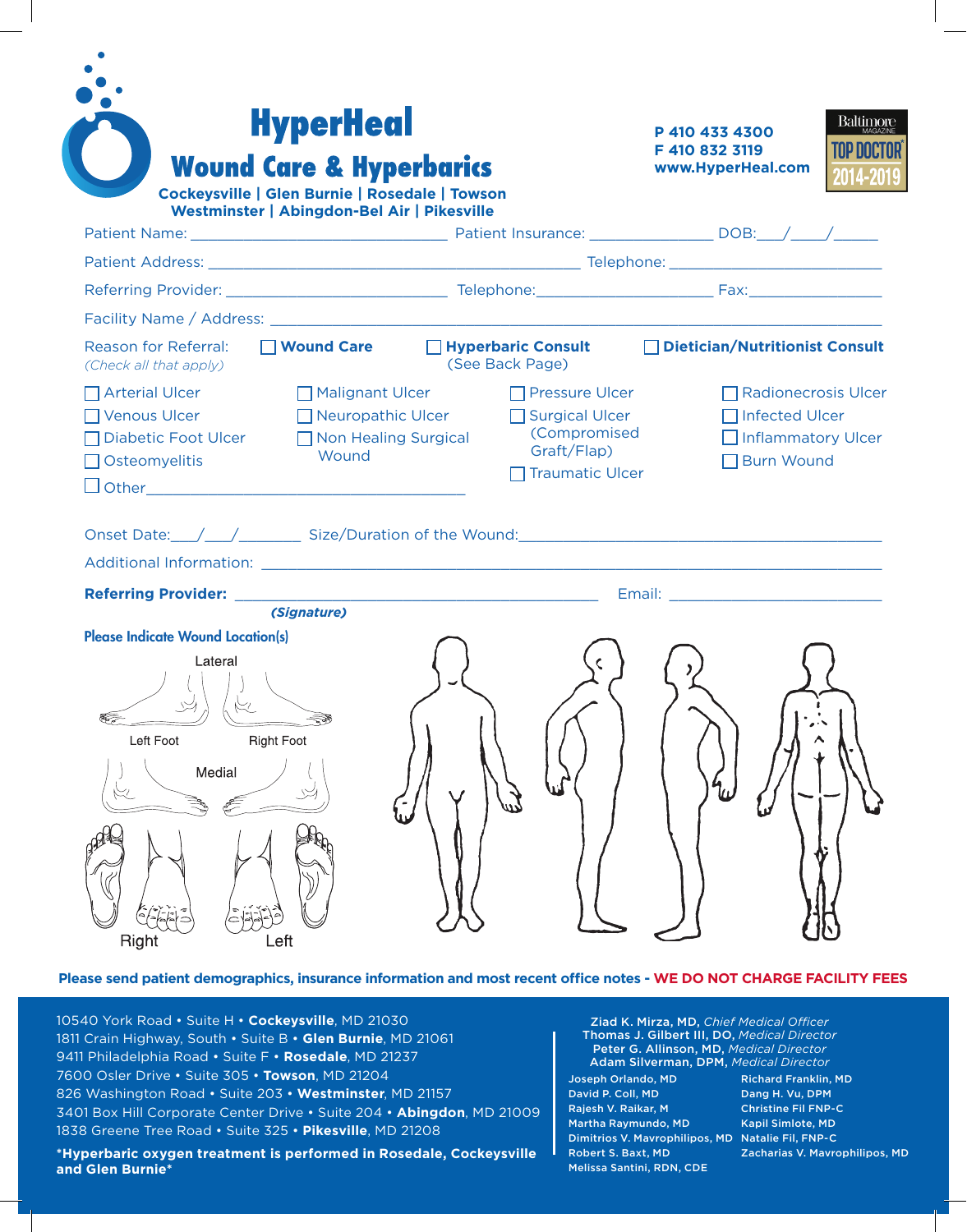| <b>Wound Care &amp; Hyperbarics</b><br>Cockeysville   Glen Burnie   Rosedale   Towson<br>Westminster   Abingdon-Bel Air   Pikesville                                                                                           |                                             |                                                                                             | F 410 832 3119<br>www.HyperHeal.com                                                                            |  |  |
|--------------------------------------------------------------------------------------------------------------------------------------------------------------------------------------------------------------------------------|---------------------------------------------|---------------------------------------------------------------------------------------------|----------------------------------------------------------------------------------------------------------------|--|--|
|                                                                                                                                                                                                                                |                                             |                                                                                             |                                                                                                                |  |  |
|                                                                                                                                                                                                                                |                                             |                                                                                             |                                                                                                                |  |  |
|                                                                                                                                                                                                                                |                                             |                                                                                             |                                                                                                                |  |  |
| □ Wound Care<br>Reason for Referral:<br>(Check all that apply)                                                                                                                                                                 |                                             | □ Hyperbaric Consult<br>(See Back Page)                                                     | <b>Dietician/Nutritionist Consult</b>                                                                          |  |  |
| $\Box$ Arterial Ulcer<br>Malignant Ulcer<br>□ Venous Ulcer<br>□ Diabetic Foot Ulcer<br>Wound<br>$\Box$ Osteomyelitis<br>Onset Date: / / / Size/Duration of the Wound: // / / / / Size/Duration of the Wound:                   | Neuropathic Ulcer<br>□ Non Healing Surgical | $\Box$ Pressure Ulcer<br>Surgical Ulcer<br>(Compromised<br>Graft/Flap)<br>□ Traumatic Ulcer | $\Box$ Radionecrosis Ulcer<br>Infected Ulcer<br>Inflammatory Ulcer<br>□ Burn Wound                             |  |  |
| Additional Information: Department of the Contract of the Contract of the Contract of the Contract of the Contract of the Contract of the Contract of the Contract of the Contract of the Contract of the Contract of the Cont |                                             |                                                                                             | Email: North Maria Maria Maria Maria Maria Maria Maria Maria Maria Maria Maria Maria Maria Maria Maria Maria M |  |  |
| (Signature)                                                                                                                                                                                                                    |                                             |                                                                                             |                                                                                                                |  |  |

## **Please send patient demographics, insurance information and most recent office notes - WE DO NOT CHARGE FACILITY FEES**

10540 York Road • Suite H • **Cockeysville**, MD 21030 1811 Crain Highway, South • Suite B • **Glen Burnie**, MD 21061 9411 Philadelphia Road • Suite F • **Rosedale**, MD 21237 7600 Osler Drive • Suite 305 • **Towson**, MD 21204 826 Washington Road • Suite 203 • **Westminster**, MD 21157 3401 Box Hill Corporate Center Drive • Suite 204 • **Abingdon**, MD 21009 1838 Greene Tree Road • Suite 325 • **Pikesville**, MD 21208

**\*Hyperbaric oxygen treatment is performed in Rosedale, Cockeysville and Glen Burnie\***

Ziad K. Mirza, MD, *Chief Medical Officer*  Thomas J. Gilbert III, DO, *Medical Director* Peter G. Allinson, MD, *Medical Director* Adam Silverman, DPM, *Medical Director*

Joseph Orlando, MD David P. Coll, MD Rajesh V. Raikar, M Martha Raymundo, MD Dimitrios V. Mavrophilipos, MD Natalie Fil, FNP-C Robert S. Baxt, MD Melissa Santini, RDN, CDE

Richard Franklin, MD Dang H. Vu, DPM Christine Fil FNP-C Kapil Simlote, MD Zacharias V. Mavrophilipos, MD